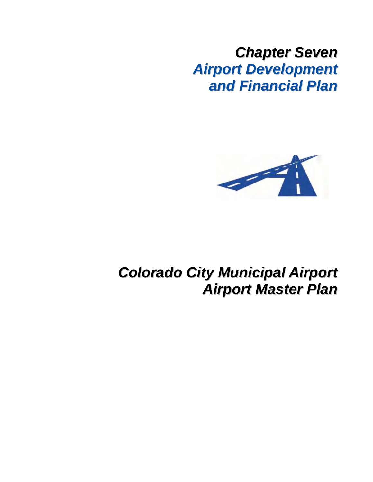*Chapter Seven Airport Development and Financial Plan*



# *Colorado City Municipal Airport Airport Master Plan*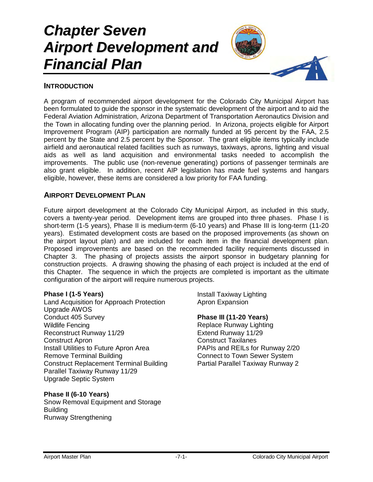# *Chapter Seven Airport Development and Financial Plan*



## **INTRODUCTION**

A program of recommended airport development for the Colorado City Municipal Airport has been formulated to guide the sponsor in the systematic development of the airport and to aid the Federal Aviation Administration, Arizona Department of Transportation Aeronautics Division and the Town in allocating funding over the planning period. In Arizona, projects eligible for Airport Improvement Program (AIP) participation are normally funded at 95 percent by the FAA, 2.5 percent by the State and 2.5 percent by the Sponsor. The grant eligible items typically include airfield and aeronautical related facilities such as runways, taxiways, aprons, lighting and visual aids as well as land acquisition and environmental tasks needed to accomplish the improvements. The public use (non-revenue generating) portions of passenger terminals are also grant eligible. In addition, recent AIP legislation has made fuel systems and hangars eligible, however, these items are considered a low priority for FAA funding.

### **AIRPORT DEVELOPMENT PLAN**

Future airport development at the Colorado City Municipal Airport, as included in this study, covers a twenty-year period. Development items are grouped into three phases. Phase I is short-term (1-5 years), Phase II is medium-term (6-10 years) and Phase III is long-term (11-20 years). Estimated development costs are based on the proposed improvements (as shown on the airport layout plan) and are included for each item in the financial development plan. Proposed improvements are based on the recommended facility requirements discussed in Chapter 3. The phasing of projects assists the airport sponsor in budgetary planning for construction projects. A drawing showing the phasing of each project is included at the end of this Chapter. The sequence in which the projects are completed is important as the ultimate configuration of the airport will require numerous projects.

### **Phase I (1-5 Years)**

Land Acquisition for Approach Protection Upgrade AWOS Conduct 405 Survey Wildlife Fencing Reconstruct Runway 11/29 Construct Apron Install Utilities to Future Apron Area Remove Terminal Building Construct Replacement Terminal Building Parallel Taxiway Runway 11/29 Upgrade Septic System

### **Phase II (6-10 Years)**

Snow Removal Equipment and Storage Building Runway Strengthening

Install Taxiway Lighting Apron Expansion

### **Phase III (11-20 Years)**

Replace Runway Lighting Extend Runway 11/29 Construct Taxilanes PAPIs and REILs for Runway 2/20 Connect to Town Sewer System Partial Parallel Taxiway Runway 2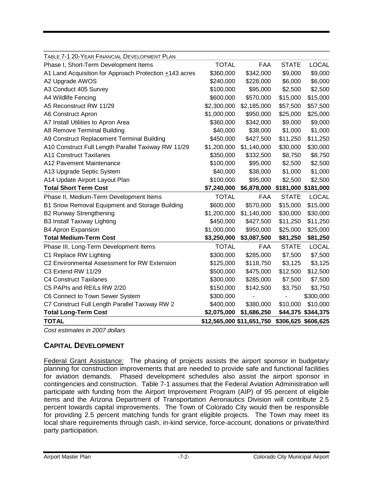| TABLE 7-1 20-YEAR FINANCIAL DEVELOPMENT PLAN           |                           |             |                     |                     |
|--------------------------------------------------------|---------------------------|-------------|---------------------|---------------------|
| Phase I, Short-Term Development Items                  | <b>TOTAL</b>              | <b>FAA</b>  | <b>STATE</b>        | <b>LOCAL</b>        |
| A1 Land Acquisition for Approach Protection +143 acres | \$360,000                 | \$342,000   | \$9,000             | \$9,000             |
| A2 Upgrade AWOS                                        | \$240,000                 | \$228,000   | \$6,000             | \$6,000             |
| A3 Conduct 405 Survey                                  | \$100,000                 | \$95,000    | \$2,500             | \$2,500             |
| A4 Wildlife Fencing                                    | \$600,000                 | \$570,000   | \$15,000            | \$15,000            |
| A5 Reconstruct RW 11/29                                | \$2,300,000               | \$2,185,000 | \$57,500            | \$57,500            |
| A6 Construct Apron                                     | \$1,000,000               | \$950,000   | \$25,000            | \$25,000            |
| A7 Install Utilities to Apron Area                     | \$360,000                 | \$342,000   | \$9,000             | \$9,000             |
| A8 Remove Terminal Building                            | \$40,000                  | \$38,000    | \$1,000             | \$1,000             |
| A9 Construct Replacement Terminal Building             | \$450,000                 | \$427,500   | \$11,250            | \$11,250            |
| A10 Construct Full Length Parallel Taxiway RW 11/29    | \$1,200,000               | \$1,140,000 | \$30,000            | \$30,000            |
| <b>A11 Construct Taxilanes</b>                         | \$350,000                 | \$332,500   | \$8,750             | \$8,750             |
| A12 Pavement Maintenance                               | \$100,000                 | \$95,000    | \$2,500             | \$2,500             |
| A13 Upgrade Septic System                              | \$40,000                  | \$38,000    | \$1,000             | \$1,000             |
| A14 Update Airport Layout Plan                         | \$100,000                 | \$95,000    | \$2,500             | \$2,500             |
| <b>Total Short Term Cost</b>                           | \$7,240,000               | \$6,878,000 | \$181,000 \$181,000 |                     |
| Phase II, Medium-Term Development Items                | <b>TOTAL</b>              | <b>FAA</b>  | <b>STATE</b>        | <b>LOCAL</b>        |
| B1 Snow Removal Equipment and Storage Building         | \$600,000                 | \$570,000   | \$15,000            | \$15,000            |
| <b>B2 Runway Strengthening</b>                         | \$1,200,000               | \$1,140,000 | \$30,000            | \$30,000            |
| <b>B3 Install Taxiway Lighting</b>                     | \$450,000                 | \$427,500   | \$11,250            | \$11,250            |
| <b>B4 Apron Expansion</b>                              | \$1,000,000               | \$950,000   | \$25,000            | \$25,000            |
| <b>Total Medium-Term Cost</b>                          | \$3,250,000               | \$3,087,500 | \$81,250            | \$81,250            |
| Phase III, Long-Term Development Items                 | <b>TOTAL</b>              | FAA         | <b>STATE</b>        | <b>LOCAL</b>        |
| C1 Replace RW Lighting                                 | \$300,000                 | \$285,000   | \$7,500             | \$7,500             |
| C2 Environmental Assessment for RW Extension           | \$125,000                 | \$118,750   | \$3,125             | \$3,125             |
| C3 Extend RW 11/29                                     | \$500,000                 | \$475,000   | \$12,500            | \$12,500            |
| <b>C4 Construct Taxilanes</b>                          | \$300,000                 | \$285,000   | \$7,500             | \$7,500             |
| C5 PAPIs and REILs RW 2/20                             | \$150,000                 | \$142,500   | \$3,750             | \$3,750             |
| C6 Connect to Town Sewer System                        | \$300,000                 |             |                     | \$300,000           |
| C7 Construct Full Length Parallel Taxiway RW 2         | \$400,000                 | \$380,000   | \$10,000            | \$10,000            |
| <b>Total Long-Term Cost</b>                            | \$2,075,000               | \$1,686,250 | \$44,375            | \$344,375           |
| <b>TOTAL</b>                                           | \$12,565,000 \$11,651,750 |             |                     | \$306,625 \$606,625 |

*Cost estimates in 2007 dollars*

# **CAPITAL DEVELOPMENT**

Federal Grant Assistance: The phasing of projects assists the airport sponsor in budgetary planning for construction improvements that are needed to provide safe and functional facilities for aviation demands. Phased development schedules also assist the airport sponsor in contingencies and construction. Table 7-1 assumes that the Federal Aviation Administration will participate with funding from the Airport Improvement Program (AIP) of 95 percent of eligible items and the Arizona Department of Transportation Aeronautics Division will contribute 2.5 percent towards capital improvements. The Town of Colorado City would then be responsible for providing 2.5 percent matching funds for grant eligible projects. The Town may meet its local share requirements through cash, in-kind service, force-account, donations or private/third party participation.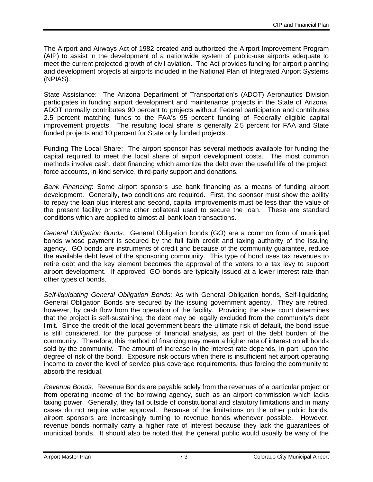The Airport and Airways Act of 1982 created and authorized the Airport Improvement Program (AIP) to assist in the development of a nationwide system of public-use airports adequate to meet the current projected growth of civil aviation. The Act provides funding for airport planning and development projects at airports included in the National Plan of Integrated Airport Systems (NPIAS).

State Assistance: The Arizona Department of Transportation's (ADOT) Aeronautics Division participates in funding airport development and maintenance projects in the State of Arizona. ADOT normally contributes 90 percent to projects without Federal participation and contributes 2.5 percent matching funds to the FAA's 95 percent funding of Federally eligible capital improvement projects. The resulting local share is generally 2.5 percent for FAA and State funded projects and 10 percent for State only funded projects.

Funding The Local Share: The airport sponsor has several methods available for funding the capital required to meet the local share of airport development costs. The most common methods involve cash, debt financing which amortize the debt over the useful life of the project, force accounts, in-kind service, third-party support and donations.

*Bank Financing*: Some airport sponsors use bank financing as a means of funding airport development. Generally, two conditions are required. First, the sponsor must show the ability to repay the loan plus interest and second, capital improvements must be less than the value of the present facility or some other collateral used to secure the loan. These are standard conditions which are applied to almost all bank loan transactions.

*General Obligation Bonds*: General Obligation bonds (GO) are a common form of municipal bonds whose payment is secured by the full faith credit and taxing authority of the issuing agency. GO bonds are instruments of credit and because of the community guarantee, reduce the available debt level of the sponsoring community. This type of bond uses tax revenues to retire debt and the key element becomes the approval of the voters to a tax levy to support airport development. If approved, GO bonds are typically issued at a lower interest rate than other types of bonds.

*Self-liquidating General Obligation Bonds*: As with General Obligation bonds, Self-liquidating General Obligation Bonds are secured by the issuing government agency. They are retired, however, by cash flow from the operation of the facility. Providing the state court determines that the project is self-sustaining, the debt may be legally excluded from the community's debt limit. Since the credit of the local government bears the ultimate risk of default, the bond issue is still considered, for the purpose of financial analysis, as part of the debt burden of the community. Therefore, this method of financing may mean a higher rate of interest on all bonds sold by the community. The amount of increase in the interest rate depends, in part, upon the degree of risk of the bond. Exposure risk occurs when there is insufficient net airport operating income to cover the level of service plus coverage requirements, thus forcing the community to absorb the residual.

*Revenue Bonds:* Revenue Bonds are payable solely from the revenues of a particular project or from operating income of the borrowing agency, such as an airport commission which lacks taxing power. Generally, they fall outside of constitutional and statutory limitations and in many cases do not require voter approval. Because of the limitations on the other public bonds, airport sponsors are increasingly turning to revenue bonds whenever possible. However, revenue bonds normally carry a higher rate of interest because they lack the guarantees of municipal bonds. It should also be noted that the general public would usually be wary of the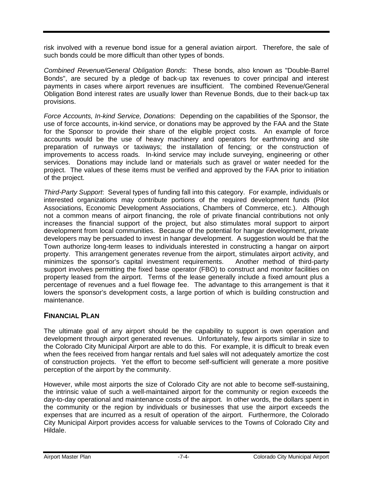risk involved with a revenue bond issue for a general aviation airport. Therefore, the sale of such bonds could be more difficult than other types of bonds.

*Combined Revenue/General Obligation Bonds*: These bonds, also known as "Double-Barrel Bonds", are secured by a pledge of back-up tax revenues to cover principal and interest payments in cases where airport revenues are insufficient. The combined Revenue/General Obligation Bond interest rates are usually lower than Revenue Bonds, due to their back-up tax provisions.

*Force Accounts, In-kind Service, Donations*: Depending on the capabilities of the Sponsor, the use of force accounts, in-kind service, or donations may be approved by the FAA and the State for the Sponsor to provide their share of the eligible project costs. An example of force accounts would be the use of heavy machinery and operators for earthmoving and site preparation of runways or taxiways; the installation of fencing; or the construction of improvements to access roads. In-kind service may include surveying, engineering or other services. Donations may include land or materials such as gravel or water needed for the project. The values of these items must be verified and approved by the FAA prior to initiation of the project.

*Third-Party Support*: Several types of funding fall into this category. For example, individuals or interested organizations may contribute portions of the required development funds (Pilot Associations, Economic Development Associations, Chambers of Commerce, etc.). Although not a common means of airport financing, the role of private financial contributions not only increases the financial support of the project, but also stimulates moral support to airport development from local communities. Because of the potential for hangar development, private developers may be persuaded to invest in hangar development. A suggestion would be that the Town authorize long-term leases to individuals interested in constructing a hangar on airport property. This arrangement generates revenue from the airport, stimulates airport activity, and minimizes the sponsor's capital investment requirements. Another method of third-party support involves permitting the fixed base operator (FBO) to construct and monitor facilities on property leased from the airport. Terms of the lease generally include a fixed amount plus a percentage of revenues and a fuel flowage fee. The advantage to this arrangement is that it lowers the sponsor's development costs, a large portion of which is building construction and maintenance.

## **FINANCIAL PLAN**

The ultimate goal of any airport should be the capability to support is own operation and development through airport generated revenues. Unfortunately, few airports similar in size to the Colorado City Municipal Airport are able to do this. For example, it is difficult to break even when the fees received from hangar rentals and fuel sales will not adequately amortize the cost of construction projects. Yet the effort to become self-sufficient will generate a more positive perception of the airport by the community.

However, while most airports the size of Colorado City are not able to become self-sustaining, the intrinsic value of such a well-maintained airport for the community or region exceeds the day-to-day operational and maintenance costs of the airport. In other words, the dollars spent in the community or the region by individuals or businesses that use the airport exceeds the expenses that are incurred as a result of operation of the airport. Furthermore, the Colorado City Municipal Airport provides access for valuable services to the Towns of Colorado City and Hildale.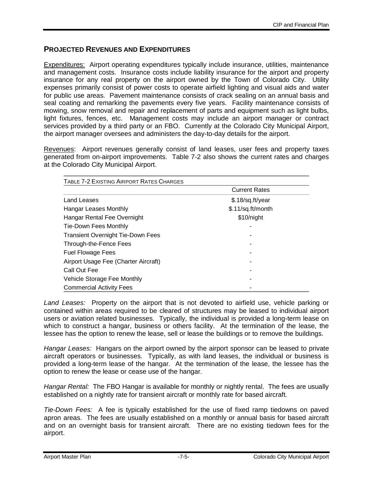## **PROJECTED REVENUES AND EXPENDITURES**

Expenditures: Airport operating expenditures typically include insurance, utilities, maintenance and management costs. Insurance costs include liability insurance for the airport and property insurance for any real property on the airport owned by the Town of Colorado City. Utility expenses primarily consist of power costs to operate airfield lighting and visual aids and water for public use areas. Pavement maintenance consists of crack sealing on an annual basis and seal coating and remarking the pavements every five years. Facility maintenance consists of mowing, snow removal and repair and replacement of parts and equipment such as light bulbs, light fixtures, fences, etc. Management costs may include an airport manager or contract services provided by a third party or an FBO. Currently at the Colorado City Municipal Airport, the airport manager oversees and administers the day-to-day details for the airport.

Revenues: Airport revenues generally consist of land leases, user fees and property taxes generated from on-airport improvements. Table 7-2 also shows the current rates and charges at the Colorado City Municipal Airport.

| TABLE 7-2 EXISTING AIRPORT RATES CHARGES |                      |  |  |
|------------------------------------------|----------------------|--|--|
|                                          | <b>Current Rates</b> |  |  |
| Land Leases                              | \$.18/sq.ft/year     |  |  |
| <b>Hangar Leases Monthly</b>             | \$.11/sq.ft/month    |  |  |
| Hangar Rental Fee Overnight              | \$10/night           |  |  |
| Tie-Down Fees Monthly                    |                      |  |  |
| <b>Transient Overnight Tie-Down Fees</b> |                      |  |  |
| Through-the-Fence Fees                   |                      |  |  |
| <b>Fuel Flowage Fees</b>                 |                      |  |  |
| Airport Usage Fee (Charter Aircraft)     |                      |  |  |
| Call Out Fee                             |                      |  |  |
| Vehicle Storage Fee Monthly              |                      |  |  |
| <b>Commercial Activity Fees</b>          |                      |  |  |

*Land Leases:* Property on the airport that is not devoted to airfield use, vehicle parking or contained within areas required to be cleared of structures may be leased to individual airport users or aviation related businesses. Typically, the individual is provided a long-term lease on which to construct a hangar, business or others facility. At the termination of the lease, the lessee has the option to renew the lease, sell or lease the buildings or to remove the buildings.

*Hangar Leases:* Hangars on the airport owned by the airport sponsor can be leased to private aircraft operators or businesses. Typically, as with land leases, the individual or business is provided a long-term lease of the hangar. At the termination of the lease, the lessee has the option to renew the lease or cease use of the hangar.

*Hangar Rental:* The FBO Hangar is available for monthly or nightly rental. The fees are usually established on a nightly rate for transient aircraft or monthly rate for based aircraft.

*Tie-Down Fees:* A fee is typically established for the use of fixed ramp tiedowns on paved apron areas. The fees are usually established on a monthly or annual basis for based aircraft and on an overnight basis for transient aircraft. There are no existing tiedown fees for the airport.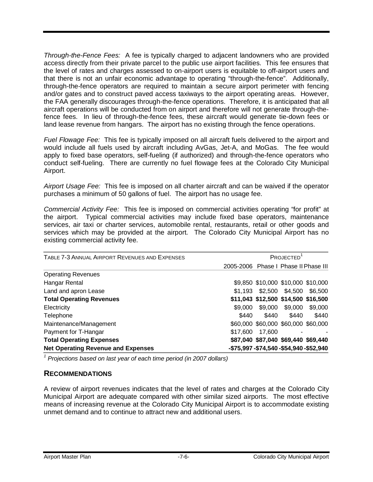*Through-the-Fence Fees:* A fee is typically charged to adjacent landowners who are provided access directly from their private parcel to the public use airport facilities. This fee ensures that the level of rates and charges assessed to on-airport users is equitable to off-airport users and that there is not an unfair economic advantage to operating "through-the-fence". Additionally, through-the-fence operators are required to maintain a secure airport perimeter with fencing and/or gates and to construct paved access taxiways to the airport operating areas. However, the FAA generally discourages through-the-fence operations. Therefore, it is anticipated that all aircraft operations will be conducted from on airport and therefore will not generate through-thefence fees. In lieu of through-the-fence fees, these aircraft would generate tie-down fees or land lease revenue from hangars. The airport has no existing through the fence operations.

*Fuel Flowage Fee:* This fee is typically imposed on all aircraft fuels delivered to the airport and would include all fuels used by aircraft including AvGas, Jet-A, and MoGas. The fee would apply to fixed base operators, self-fueling (if authorized) and through-the-fence operators who conduct self-fueling. There are currently no fuel flowage fees at the Colorado City Municipal Airport.

*Airport Usage Fee:* This fee is imposed on all charter aircraft and can be waived if the operator purchases a minimum of 50 gallons of fuel. The airport has no usage fee.

*Commercial Activity Fee:* This fee is imposed on commercial activities operating "for profit" at the airport. Typical commercial activities may include fixed base operators, maintenance services, air taxi or charter services, automobile rental, restaurants, retail or other goods and services which may be provided at the airport. The Colorado City Municipal Airport has no existing commercial activity fee.

| TABLE 7-3 ANNUAL AIRPORT REVENUES AND EXPENSES | PROJECTED <sup>1</sup>                     |                            |                                     |         |
|------------------------------------------------|--------------------------------------------|----------------------------|-------------------------------------|---------|
|                                                | 2005-2006                                  | Phase I Phase II Phase III |                                     |         |
| <b>Operating Revenues</b>                      |                                            |                            |                                     |         |
| Hangar Rental                                  |                                            |                            | \$9,850 \$10,000 \$10,000 \$10,000  |         |
| Land and apron Lease                           | \$1.193                                    |                            | \$2,500 \$4,500                     | \$6,500 |
| <b>Total Operating Revenues</b>                |                                            |                            | \$11,043 \$12,500 \$14,500 \$16,500 |         |
| Electricity                                    | \$9,000                                    | \$9,000                    | \$9,000                             | \$9,000 |
| Telephone                                      | \$440                                      | \$440                      | \$440                               | \$440   |
| Maintenance/Management                         |                                            |                            | \$60,000 \$60,000 \$60,000 \$60,000 |         |
| Payment for T-Hangar                           | \$17,600                                   | 17,600                     |                                     |         |
| <b>Total Operating Expenses</b>                |                                            |                            | \$87,040 \$87,040 \$69,440 \$69,440 |         |
| <b>Net Operating Revenue and Expenses</b>      | -\$75,997 - \$74,540 - \$54,940 - \$52,940 |                            |                                     |         |

<sup>1</sup> Projections based on last year of each time period (in 2007 dollars)

## **RECOMMENDATIONS**

A review of airport revenues indicates that the level of rates and charges at the Colorado City Municipal Airport are adequate compared with other similar sized airports. The most effective means of increasing revenue at the Colorado City Municipal Airport is to accommodate existing unmet demand and to continue to attract new and additional users.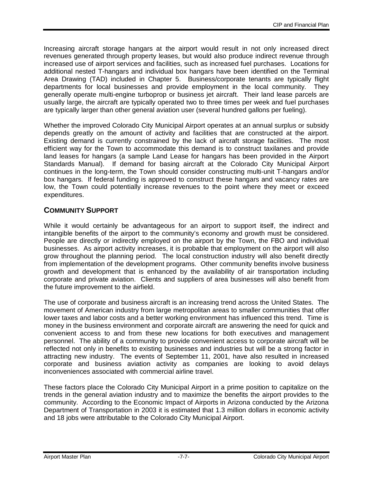Increasing aircraft storage hangars at the airport would result in not only increased direct revenues generated through property leases, but would also produce indirect revenue through increased use of airport services and facilities, such as increased fuel purchases. Locations for additional nested T-hangars and individual box hangars have been identified on the Terminal Area Drawing (TAD) included in Chapter 5. Business/corporate tenants are typically flight departments for local businesses and provide employment in the local community. They generally operate multi-engine turboprop or business jet aircraft. Their land lease parcels are usually large, the aircraft are typically operated two to three times per week and fuel purchases are typically larger than other general aviation user (several hundred gallons per fueling).

Whether the improved Colorado City Municipal Airport operates at an annual surplus or subsidy depends greatly on the amount of activity and facilities that are constructed at the airport. Existing demand is currently constrained by the lack of aircraft storage facilities. The most efficient way for the Town to accommodate this demand is to construct taxilanes and provide land leases for hangars (a sample Land Lease for hangars has been provided in the Airport Standards Manual). If demand for basing aircraft at the Colorado City Municipal Airport continues in the long-term, the Town should consider constructing multi-unit T-hangars and/or box hangars. If federal funding is approved to construct these hangars and vacancy rates are low, the Town could potentially increase revenues to the point where they meet or exceed expenditures.

# **COMMUNITY SUPPORT**

While it would certainly be advantageous for an airport to support itself, the indirect and intangible benefits of the airport to the community's economy and growth must be considered. People are directly or indirectly employed on the airport by the Town, the FBO and individual businesses. As airport activity increases, it is probable that employment on the airport will also grow throughout the planning period. The local construction industry will also benefit directly from implementation of the development programs. Other community benefits involve business growth and development that is enhanced by the availability of air transportation including corporate and private aviation. Clients and suppliers of area businesses will also benefit from the future improvement to the airfield.

The use of corporate and business aircraft is an increasing trend across the United States. The movement of American industry from large metropolitan areas to smaller communities that offer lower taxes and labor costs and a better working environment has influenced this trend. Time is money in the business environment and corporate aircraft are answering the need for quick and convenient access to and from these new locations for both executives and management personnel. The ability of a community to provide convenient access to corporate aircraft will be reflected not only in benefits to existing businesses and industries but will be a strong factor in attracting new industry. The events of September 11, 2001, have also resulted in increased corporate and business aviation activity as companies are looking to avoid delays inconveniences associated with commercial airline travel.

These factors place the Colorado City Municipal Airport in a prime position to capitalize on the trends in the general aviation industry and to maximize the benefits the airport provides to the community. According to the Economic Impact of Airports in Arizona conducted by the Arizona Department of Transportation in 2003 it is estimated that 1.3 million dollars in economic activity and 18 jobs were attributable to the Colorado City Municipal Airport.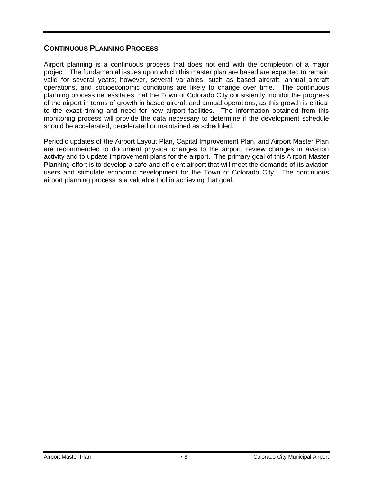# **CONTINUOUS PLANNING PROCESS**

Airport planning is a continuous process that does not end with the completion of a major project. The fundamental issues upon which this master plan are based are expected to remain valid for several years; however, several variables, such as based aircraft, annual aircraft operations, and socioeconomic conditions are likely to change over time. The continuous planning process necessitates that the Town of Colorado City consistently monitor the progress of the airport in terms of growth in based aircraft and annual operations, as this growth is critical to the exact timing and need for new airport facilities. The information obtained from this monitoring process will provide the data necessary to determine if the development schedule should be accelerated, decelerated or maintained as scheduled.

Periodic updates of the Airport Layout Plan, Capital Improvement Plan, and Airport Master Plan are recommended to document physical changes to the airport, review changes in aviation activity and to update improvement plans for the airport. The primary goal of this Airport Master Planning effort is to develop a safe and efficient airport that will meet the demands of its aviation users and stimulate economic development for the Town of Colorado City. The continuous airport planning process is a valuable tool in achieving that goal.